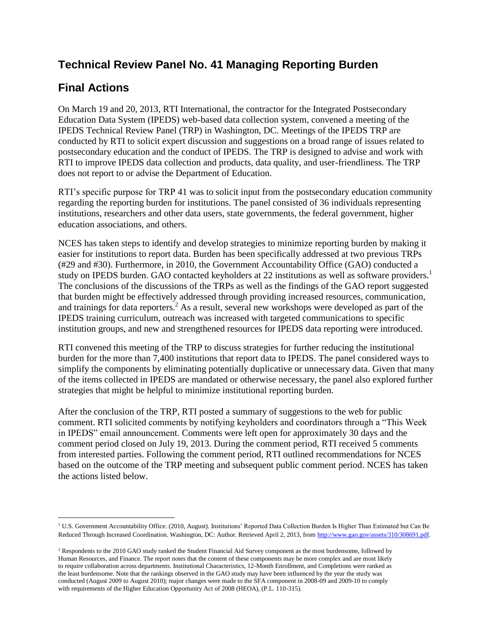# **Technical Review Panel No. 41 Managing Reporting Burden**

# **Final Actions**

 $\overline{a}$ 

On March 19 and 20, 2013, RTI International, the contractor for the Integrated Postsecondary Education Data System (IPEDS) web-based data collection system, convened a meeting of the IPEDS Technical Review Panel (TRP) in Washington, DC. Meetings of the IPEDS TRP are conducted by RTI to solicit expert discussion and suggestions on a broad range of issues related to postsecondary education and the conduct of IPEDS. The TRP is designed to advise and work with RTI to improve IPEDS data collection and products, data quality, and user-friendliness. The TRP does not report to or advise the Department of Education.

RTI's specific purpose for TRP 41 was to solicit input from the postsecondary education community regarding the reporting burden for institutions. The panel consisted of 36 individuals representing institutions, researchers and other data users, state governments, the federal government, higher education associations, and others.

NCES has taken steps to identify and develop strategies to minimize reporting burden by making it easier for institutions to report data. Burden has been specifically addressed at two previous TRPs (#29 and #30). Furthermore, in 2010, the Government Accountability Office (GAO) conducted a study on IPEDS burden. GAO contacted keyholders at 22 institutions as well as software providers.<sup>1</sup> The conclusions of the discussions of the TRPs as well as the findings of the GAO report suggested that burden might be effectively addressed through providing increased resources, communication, and trainings for data reporters.<sup>2</sup> As a result, several new workshops were developed as part of the IPEDS training curriculum, outreach was increased with targeted communications to specific institution groups, and new and strengthened resources for IPEDS data reporting were introduced.

RTI convened this meeting of the TRP to discuss strategies for further reducing the institutional burden for the more than 7,400 institutions that report data to IPEDS. The panel considered ways to simplify the components by eliminating potentially duplicative or unnecessary data. Given that many of the items collected in IPEDS are mandated or otherwise necessary, the panel also explored further strategies that might be helpful to minimize institutional reporting burden.

After the conclusion of the TRP, RTI posted a summary of suggestions to the web for public comment. RTI solicited comments by notifying keyholders and coordinators through a "This Week in IPEDS" email announcement. Comments were left open for approximately 30 days and the comment period closed on July 19, 2013. During the comment period, RTI received 5 comments from interested parties. Following the comment period, RTI outlined recommendations for NCES based on the outcome of the TRP meeting and subsequent public comment period. NCES has taken the actions listed below.

<sup>&</sup>lt;sup>1</sup> U.S. Government Accountability Office. (2010, August). Institutions' Reported Data Collection Burden Is Higher Than Estimated but Can Be Reduced Through Increased Coordination. Washington, DC: Author. Retrieved April 2, 2013, fro[m http://www.gao.gov/assets/310/308691.pdf.](http://www.gao.gov/assets/310/308691.pdf)

<sup>&</sup>lt;sup>2</sup> Respondents to the 2010 GAO study ranked the Student Financial Aid Survey component as the most burdensome, followed by Human Resources, and Finance. The report notes that the content of these components may be more complex and are most likely to require collaboration across departments. Institutional Characteristics, 12-Month Enrollment, and Completions were ranked as the least burdensome. Note that the rankings observed in the GAO study may have been influenced by the year the study was conducted (August 2009 to August 2010); major changes were made to the SFA component in 2008-09 and 2009-10 to comply with requirements of the Higher Education Opportunity Act of 2008 (HEOA), (P.L. 110-315).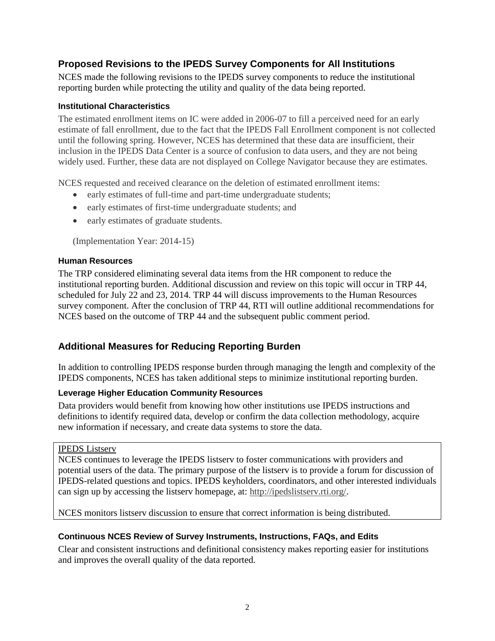# **Proposed Revisions to the IPEDS Survey Components for All Institutions**

NCES made the following revisions to the IPEDS survey components to reduce the institutional reporting burden while protecting the utility and quality of the data being reported.

#### **Institutional Characteristics**

The estimated enrollment items on IC were added in 2006-07 to fill a perceived need for an early estimate of fall enrollment, due to the fact that the IPEDS Fall Enrollment component is not collected until the following spring. However, NCES has determined that these data are insufficient, their inclusion in the IPEDS Data Center is a source of confusion to data users, and they are not being widely used. Further, these data are not displayed on College Navigator because they are estimates.

NCES requested and received clearance on the deletion of estimated enrollment items:

- early estimates of full-time and part-time undergraduate students;
- early estimates of first-time undergraduate students; and
- early estimates of graduate students.

(Implementation Year: 2014-15)

#### **Human Resources**

The TRP considered eliminating several data items from the HR component to reduce the institutional reporting burden. Additional discussion and review on this topic will occur in TRP 44, scheduled for July 22 and 23, 2014. TRP 44 will discuss improvements to the Human Resources survey component. After the conclusion of TRP 44, RTI will outline additional recommendations for NCES based on the outcome of TRP 44 and the subsequent public comment period.

# **Additional Measures for Reducing Reporting Burden**

In addition to controlling IPEDS response burden through managing the length and complexity of the IPEDS components, NCES has taken additional steps to minimize institutional reporting burden.

## **Leverage Higher Education Community Resources**

Data providers would benefit from knowing how other institutions use IPEDS instructions and definitions to identify required data, develop or confirm the data collection methodology, acquire new information if necessary, and create data systems to store the data.

#### IPEDS Listserv

NCES continues to leverage the IPEDS listserv to foster communications with providers and potential users of the data. The primary purpose of the listserv is to provide a forum for discussion of IPEDS-related questions and topics. IPEDS keyholders, coordinators, and other interested individuals can sign up by accessing the listserv homepage, at: [http://ipedslistserv.rti.org/.](http://ipedslistserv.rti.org/)

NCES monitors listserv discussion to ensure that correct information is being distributed.

## **Continuous NCES Review of Survey Instruments, Instructions, FAQs, and Edits**

Clear and consistent instructions and definitional consistency makes reporting easier for institutions and improves the overall quality of the data reported.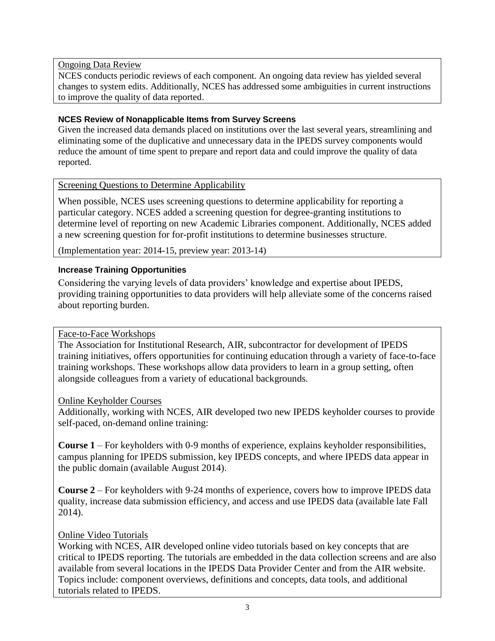# Ongoing Data Review

NCES conducts periodic reviews of each component. An ongoing data review has yielded several changes to system edits. Additionally, NCES has addressed some ambiguities in current instructions to improve the quality of data reported.

# **NCES Review of Nonapplicable Items from Survey Screens**

Given the increased data demands placed on institutions over the last several years, streamlining and eliminating some of the duplicative and unnecessary data in the IPEDS survey components would reduce the amount of time spent to prepare and report data and could improve the quality of data reported.

# Screening Questions to Determine Applicability

When possible, NCES uses screening questions to determine applicability for reporting a particular category. NCES added a screening question for degree-granting institutions to determine level of reporting on new Academic Libraries component. Additionally, NCES added a new screening question for for-profit institutions to determine businesses structure.

(Implementation year: 2014-15, preview year: 2013-14)

# **Increase Training Opportunities**

Considering the varying levels of data providers' knowledge and expertise about IPEDS, providing training opportunities to data providers will help alleviate some of the concerns raised about reporting burden.

## Face-to-Face Workshops

The Association for Institutional Research, AIR, subcontractor for development of IPEDS training initiatives, offers opportunities for continuing education through a variety of face-to-face training workshops. These workshops allow data providers to learn in a group setting, often alongside colleagues from a variety of educational backgrounds.

## Online Keyholder Courses

Additionally, working with NCES, AIR developed two new IPEDS keyholder courses to provide self-paced, on-demand online training:

**Course 1** – For keyholders with 0-9 months of experience, explains keyholder responsibilities, campus planning for IPEDS submission, key IPEDS concepts, and where IPEDS data appear in the public domain (available August 2014).

**Course 2** – For keyholders with 9-24 months of experience, covers how to improve IPEDS data quality, increase data submission efficiency, and access and use IPEDS data (available late Fall 2014).

## Online Video Tutorials

Working with NCES, AIR developed online video tutorials based on key concepts that are critical to IPEDS reporting. The tutorials are embedded in the data collection screens and are also available from several locations in the IPEDS Data Provider Center and from the AIR website. Topics include: component overviews, definitions and concepts, data tools, and additional tutorials related to IPEDS.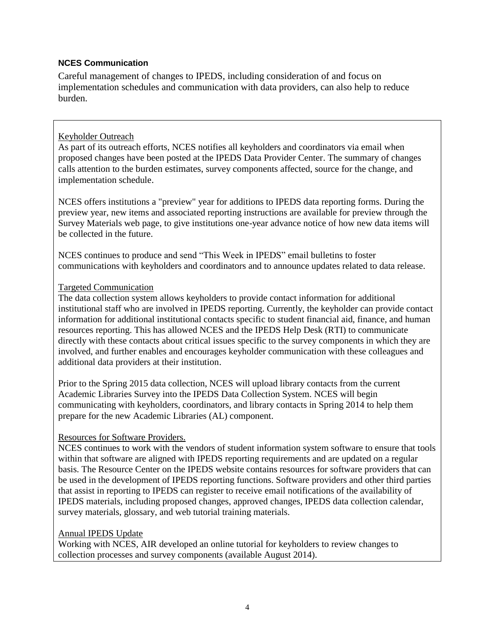## **NCES Communication**

Careful management of changes to IPEDS, including consideration of and focus on implementation schedules and communication with data providers, can also help to reduce burden.

#### Keyholder Outreach

As part of its outreach efforts, NCES notifies all keyholders and coordinators via email when proposed changes have been posted at the IPEDS Data Provider Center. The summary of changes calls attention to the burden estimates, survey components affected, source for the change, and implementation schedule.

NCES offers institutions a "preview" year for additions to IPEDS data reporting forms. During the preview year, new items and associated reporting instructions are available for preview through the Survey Materials web page, to give institutions one-year advance notice of how new data items will be collected in the future.

NCES continues to produce and send "This Week in IPEDS" email bulletins to foster communications with keyholders and coordinators and to announce updates related to data release.

#### Targeted Communication

The data collection system allows keyholders to provide contact information for additional institutional staff who are involved in IPEDS reporting. Currently, the keyholder can provide contact information for additional institutional contacts specific to student financial aid, finance, and human resources reporting. This has allowed NCES and the IPEDS Help Desk (RTI) to communicate directly with these contacts about critical issues specific to the survey components in which they are involved, and further enables and encourages keyholder communication with these colleagues and additional data providers at their institution.

Prior to the Spring 2015 data collection, NCES will upload library contacts from the current Academic Libraries Survey into the IPEDS Data Collection System. NCES will begin communicating with keyholders, coordinators, and library contacts in Spring 2014 to help them prepare for the new Academic Libraries (AL) component.

## Resources for Software Providers.

NCES continues to work with the vendors of student information system software to ensure that tools within that software are aligned with IPEDS reporting requirements and are updated on a regular basis. The Resource Center on the IPEDS website contains resources for software providers that can be used in the development of IPEDS reporting functions. Software providers and other third parties that assist in reporting to IPEDS can register to receive email notifications of the availability of IPEDS materials, including proposed changes, approved changes, IPEDS data collection calendar, survey materials, glossary, and web tutorial training materials.

#### Annual IPEDS Update

Working with NCES, AIR developed an online tutorial for keyholders to review changes to collection processes and survey components (available August 2014).